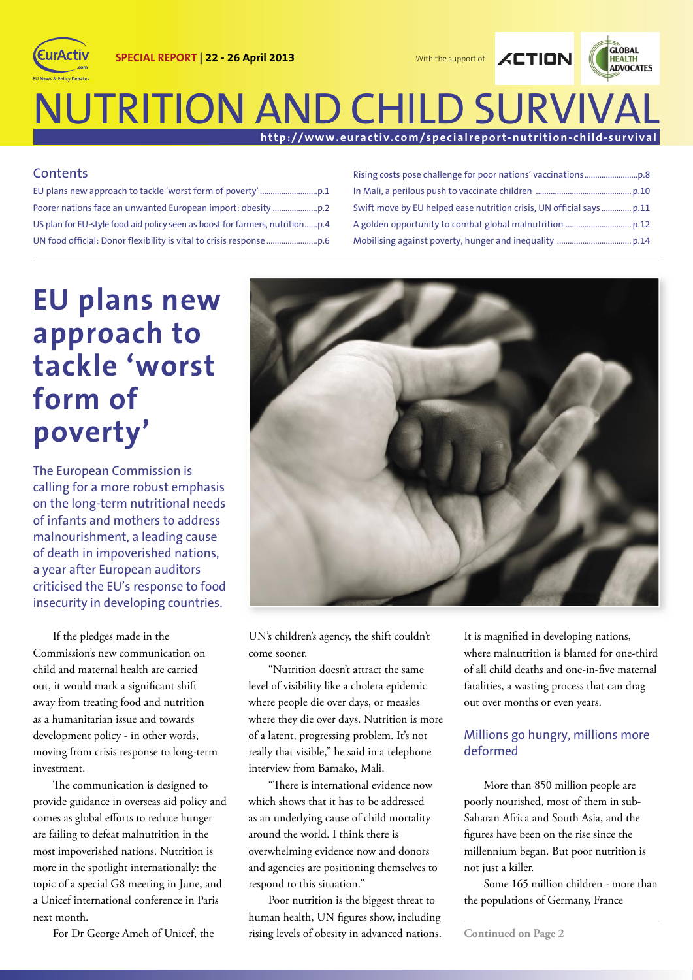

### **NUTRITION AND CHILD SURVIV http://www.euractiv.com/specialreport-nutrition-child-survival**

#### **Contents**

(EurActiv

EU plans new approach to tackle 'worst form of poverty' ...........................p.1 Poorer nations face an unwanted European import: obesity .....................p.2 US plan for EU-style food aid policy seen as boost for farmers, nutrition ......p.4 UN food offi cial: Donor fl exibility is vital to crisis response ........................p.6

| Swift move by EU helped ease nutrition crisis, UN official says  p.11 |
|-----------------------------------------------------------------------|
|                                                                       |
|                                                                       |

## **EU plans new approach to tackle 'worst form of poverty'**

The European Commission is calling for a more robust emphasis on the long-term nutritional needs of infants and mothers to address malnourishment, a leading cause of death in impoverished nations, a year after European auditors criticised the EU's response to food insecurity in developing countries.

If the pledges made in the Commission's new communication on child and maternal health are carried out, it would mark a significant shift away from treating food and nutrition as a humanitarian issue and towards development policy - in other words, moving from crisis response to long-term investment.

The communication is designed to provide guidance in overseas aid policy and comes as global efforts to reduce hunger are failing to defeat malnutrition in the most impoverished nations. Nutrition is more in the spotlight internationally: the topic of a special G8 meeting in June, and a Unicef international conference in Paris next month.

For Dr George Ameh of Unicef, the



UN's children's agency, the shift couldn't come sooner.

"Nutrition doesn't attract the same level of visibility like a cholera epidemic where people die over days, or measles where they die over days. Nutrition is more of a latent, progressing problem. It's not really that visible," he said in a telephone interview from Bamako, Mali.

"There is international evidence now which shows that it has to be addressed as an underlying cause of child mortality around the world. I think there is overwhelming evidence now and donors and agencies are positioning themselves to respond to this situation."

Poor nutrition is the biggest threat to human health, UN figures show, including rising levels of obesity in advanced nations. It is magnified in developing nations, where malnutrition is blamed for one-third of all child deaths and one-in-five maternal fatalities, a wasting process that can drag out over months or even years.

#### Millions go hungry, millions more deformed

More than 850 million people are poorly nourished, most of them in sub-Saharan Africa and South Asia, and the figures have been on the rise since the millennium began. But poor nutrition is not just a killer.

Some 165 million children - more than the populations of Germany, France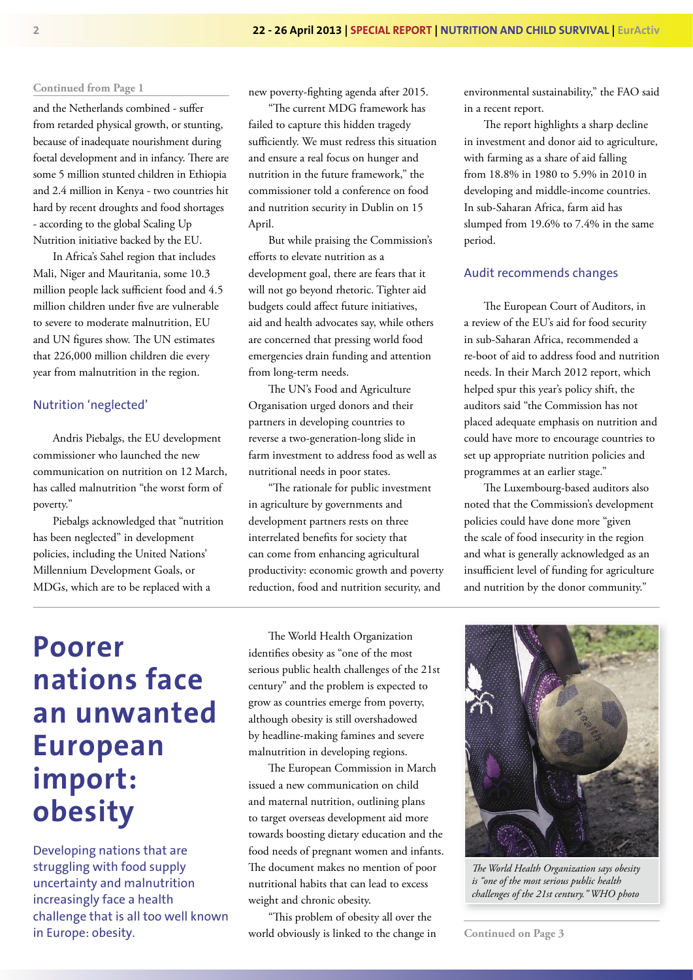and the Netherlands combined - suffer from retarded physical growth, or stunting, because of inadequate nourishment during foetal development and in infancy. There are some 5 million stunted children in Ethiopia and 2.4 million in Kenya - two countries hit hard by recent droughts and food shortages - according to the global Scaling Up Nutrition initiative backed by the EU.

In Africa's Sahel region that includes Mali, Niger and Mauritania, some 10.3 million people lack sufficient food and 4.5 million children under five are vulnerable to severe to moderate malnutrition, EU and UN figures show. The UN estimates that 226,000 million children die every year from malnutrition in the region.

#### Nutrition 'neglected'

Andris Piebalgs, the EU development commissioner who launched the new communication on nutrition on 12 March, has called malnutrition "the worst form of poverty."

Piebalgs acknowledged that "nutrition has been neglected" in development policies, including the United Nations' Millennium Development Goals, or MDGs, which are to be replaced with a

new poverty-fighting agenda after 2015.

"The current MDG framework has failed to capture this hidden tragedy sufficiently. We must redress this situation and ensure a real focus on hunger and nutrition in the future framework," the commissioner told a conference on food and nutrition security in Dublin on 15 April.

But while praising the Commission's efforts to elevate nutrition as a development goal, there are fears that it will not go beyond rhetoric. Tighter aid budgets could affect future initiatives, aid and health advocates say, while others are concerned that pressing world food emergencies drain funding and attention from long-term needs.

The UN's Food and Agriculture Organisation urged donors and their partners in developing countries to reverse a two-generation-long slide in farm investment to address food as well as nutritional needs in poor states.

"The rationale for public investment in agriculture by governments and development partners rests on three interrelated benefits for society that can come from enhancing agricultural productivity: economic growth and poverty reduction, food and nutrition security, and

environmental sustainability," the FAO said in a recent report.

The report highlights a sharp decline in investment and donor aid to agriculture, with farming as a share of aid falling from 18.8% in 1980 to 5.9% in 2010 in developing and middle-income countries. In sub-Saharan Africa, farm aid has slumped from 19.6% to 7.4% in the same period.

#### Audit recommends changes

The European Court of Auditors, in a review of the EU's aid for food security in sub-Saharan Africa, recommended a re-boot of aid to address food and nutrition needs. In their March 2012 report, which helped spur this year's policy shift, the auditors said "the Commission has not placed adequate emphasis on nutrition and could have more to encourage countries to set up appropriate nutrition policies and programmes at an earlier stage."

The Luxembourg-based auditors also noted that the Commission's development policies could have done more "given the scale of food insecurity in the region and what is generally acknowledged as an insufficient level of funding for agriculture and nutrition by the donor community."

## **Poorer nations face an unwanted European import: obesity**

Developing nations that are struggling with food supply uncertainty and malnutrition increasingly face a health challenge that is all too well known in Europe: obesity.

The World Health Organization identifies obesity as "one of the most serious public health challenges of the 21st century" and the problem is expected to grow as countries emerge from poverty, although obesity is still overshadowed by headline-making famines and severe malnutrition in developing regions.

The European Commission in March issued a new communication on child and maternal nutrition, outlining plans to target overseas development aid more towards boosting dietary education and the food needs of pregnant women and infants. The document makes no mention of poor nutritional habits that can lead to excess weight and chronic obesity.

"This problem of obesity all over the world obviously is linked to the change in



*Th e World Health Organization says obesity is "one of the most serious public health challenges of the 21st century." WHO photo* 

**Continued on Page 3**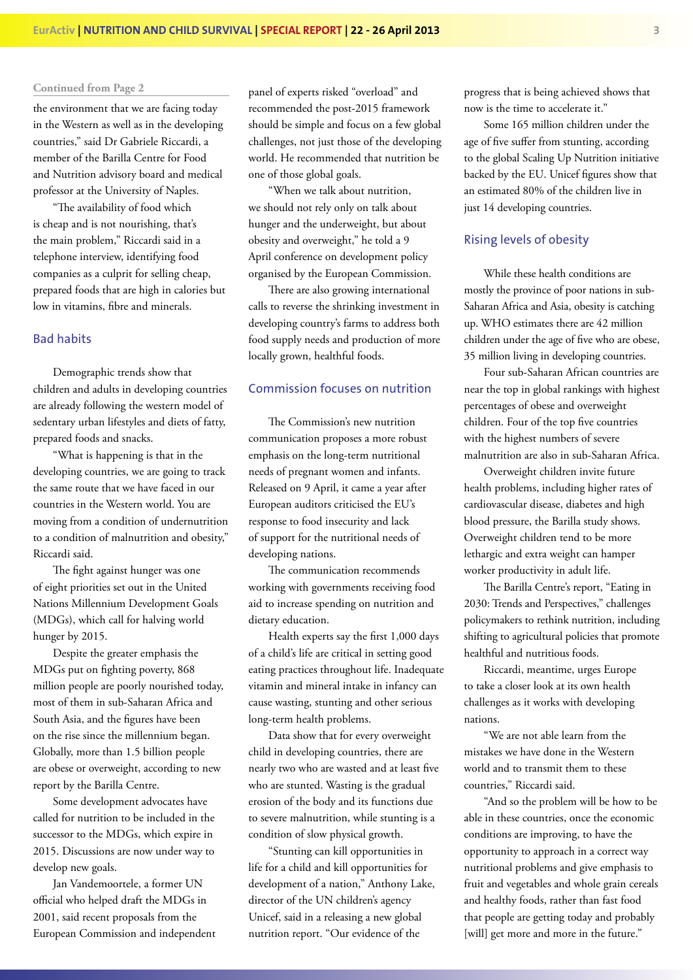the environment that we are facing today in the Western as well as in the developing countries," said Dr Gabriele Riccardi, a member of the Barilla Centre for Food and Nutrition advisory board and medical professor at the University of Naples.

"The availability of food which is cheap and is not nourishing, that's the main problem," Riccardi said in a telephone interview, identifying food companies as a culprit for selling cheap, prepared foods that are high in calories but low in vitamins, fibre and minerals.

#### Bad habits

Demographic trends show that children and adults in developing countries are already following the western model of sedentary urban lifestyles and diets of fatty, prepared foods and snacks.

"What is happening is that in the developing countries, we are going to track the same route that we have faced in our countries in the Western world. You are moving from a condition of undernutrition to a condition of malnutrition and obesity," Riccardi said.

The fight against hunger was one of eight priorities set out in the United Nations Millennium Development Goals (MDGs), which call for halving world hunger by 2015.

Despite the greater emphasis the MDGs put on fighting poverty, 868 million people are poorly nourished today, most of them in sub-Saharan Africa and South Asia, and the figures have been on the rise since the millennium began. Globally, more than 1.5 billion people are obese or overweight, according to new report by the Barilla Centre.

Some development advocates have called for nutrition to be included in the successor to the MDGs, which expire in 2015. Discussions are now under way to develop new goals.

Jan Vandemoortele, a former UN official who helped draft the MDGs in 2001, said recent proposals from the European Commission and independent panel of experts risked "overload" and recommended the post-2015 framework should be simple and focus on a few global challenges, not just those of the developing world. He recommended that nutrition be one of those global goals.

"When we talk about nutrition, we should not rely only on talk about hunger and the underweight, but about obesity and overweight," he told a 9 April conference on development policy organised by the European Commission.

There are also growing international calls to reverse the shrinking investment in developing country's farms to address both food supply needs and production of more locally grown, healthful foods.

#### Commission focuses on nutrition

The Commission's new nutrition communication proposes a more robust emphasis on the long-term nutritional needs of pregnant women and infants. Released on 9 April, it came a year after European auditors criticised the EU's response to food insecurity and lack of support for the nutritional needs of developing nations.

The communication recommends working with governments receiving food aid to increase spending on nutrition and dietary education.

Health experts say the first 1,000 days of a child's life are critical in setting good eating practices throughout life. Inadequate vitamin and mineral intake in infancy can cause wasting, stunting and other serious long-term health problems.

Data show that for every overweight child in developing countries, there are nearly two who are wasted and at least five who are stunted. Wasting is the gradual erosion of the body and its functions due to severe malnutrition, while stunting is a condition of slow physical growth.

"Stunting can kill opportunities in life for a child and kill opportunities for development of a nation," Anthony Lake, director of the UN children's agency Unicef, said in a releasing a new global nutrition report. "Our evidence of the

progress that is being achieved shows that now is the time to accelerate it."

Some 165 million children under the age of five suffer from stunting, according to the global Scaling Up Nutrition initiative backed by the EU. Unicef figures show that an estimated 80% of the children live in just 14 developing countries.

#### Rising levels of obesity

While these health conditions are mostly the province of poor nations in sub-Saharan Africa and Asia, obesity is catching up. WHO estimates there are 42 million children under the age of five who are obese, 35 million living in developing countries.

Four sub-Saharan African countries are near the top in global rankings with highest percentages of obese and overweight children. Four of the top five countries with the highest numbers of severe malnutrition are also in sub-Saharan Africa.

Overweight children invite future health problems, including higher rates of cardiovascular disease, diabetes and high blood pressure, the Barilla study shows. Overweight children tend to be more lethargic and extra weight can hamper worker productivity in adult life.

The Barilla Centre's report, "Eating in 2030: Trends and Perspectives," challenges policymakers to rethink nutrition, including shifting to agricultural policies that promote healthful and nutritious foods.

Riccardi, meantime, urges Europe to take a closer look at its own health challenges as it works with developing nations.

"We are not able learn from the mistakes we have done in the Western world and to transmit them to these countries," Riccardi said.

"And so the problem will be how to be able in these countries, once the economic conditions are improving, to have the opportunity to approach in a correct way nutritional problems and give emphasis to fruit and vegetables and whole grain cereals and healthy foods, rather than fast food that people are getting today and probably [will] get more and more in the future."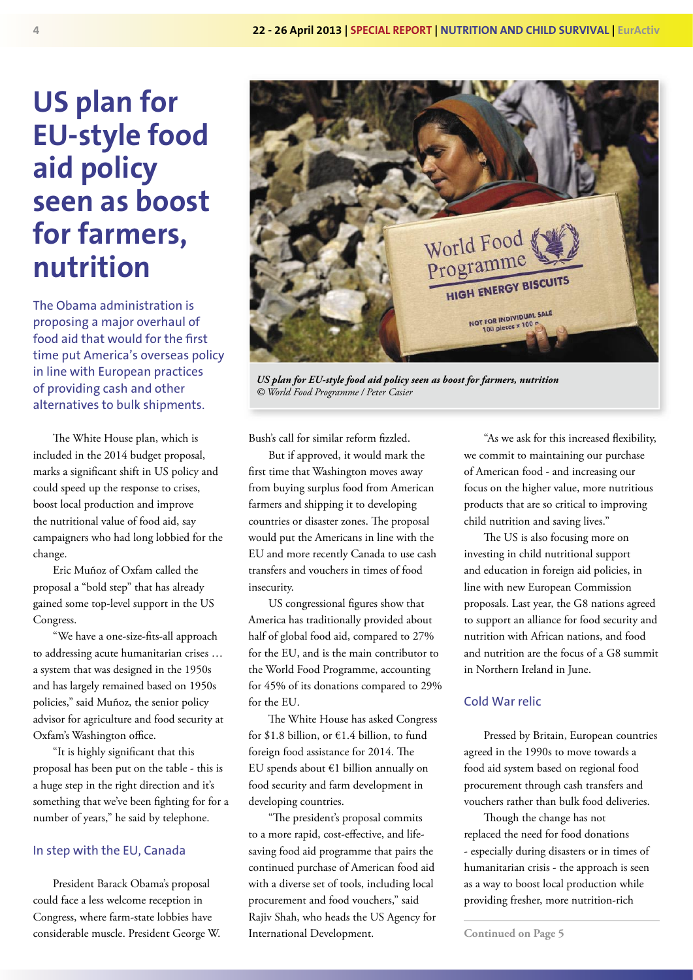## **US plan for EU-style food aid policy seen as boost for farmers, nutrition**

The Obama administration is proposing a major overhaul of food aid that would for the first time put America's overseas policy in line with European practices of providing cash and other alternatives to bulk shipments.

The White House plan, which is included in the 2014 budget proposal, marks a significant shift in US policy and could speed up the response to crises, boost local production and improve the nutritional value of food aid, say campaigners who had long lobbied for the change.

Eric Muñoz of Oxfam called the proposal a "bold step" that has already gained some top-level support in the US Congress.

"We have a one-size-fits-all approach to addressing acute humanitarian crises … a system that was designed in the 1950s and has largely remained based on 1950s policies," said Muñoz, the senior policy advisor for agriculture and food security at Oxfam's Washington office.

"It is highly significant that this proposal has been put on the table - this is a huge step in the right direction and it's something that we've been fighting for for a number of years," he said by telephone.

#### In step with the EU, Canada

President Barack Obama's proposal could face a less welcome reception in Congress, where farm-state lobbies have considerable muscle. President George W.



*US plan for EU-style food aid policy seen as boost for farmers, nutrition © World Food Programme / Peter Casier* 

Bush's call for similar reform fizzled.

But if approved, it would mark the first time that Washington moves away from buying surplus food from American farmers and shipping it to developing countries or disaster zones. The proposal would put the Americans in line with the EU and more recently Canada to use cash transfers and vouchers in times of food insecurity.

US congressional figures show that America has traditionally provided about half of global food aid, compared to 27% for the EU, and is the main contributor to the World Food Programme, accounting for 45% of its donations compared to 29% for the EU.

The White House has asked Congress for \$1.8 billion, or €1.4 billion, to fund foreign food assistance for 2014. The EU spends about €1 billion annually on food security and farm development in developing countries.

"The president's proposal commits to a more rapid, cost-effective, and lifesaving food aid programme that pairs the continued purchase of American food aid with a diverse set of tools, including local procurement and food vouchers," said Rajiv Shah, who heads the US Agency for International Development.

"As we ask for this increased flexibility, we commit to maintaining our purchase of American food - and increasing our focus on the higher value, more nutritious products that are so critical to improving child nutrition and saving lives."

The US is also focusing more on investing in child nutritional support and education in foreign aid policies, in line with new European Commission proposals. Last year, the G8 nations agreed to support an alliance for food security and nutrition with African nations, and food and nutrition are the focus of a G8 summit in Northern Ireland in June.

#### Cold War relic

Pressed by Britain, European countries agreed in the 1990s to move towards a food aid system based on regional food procurement through cash transfers and vouchers rather than bulk food deliveries.

Though the change has not replaced the need for food donations - especially during disasters or in times of humanitarian crisis - the approach is seen as a way to boost local production while providing fresher, more nutrition-rich

**Continued on Page 5**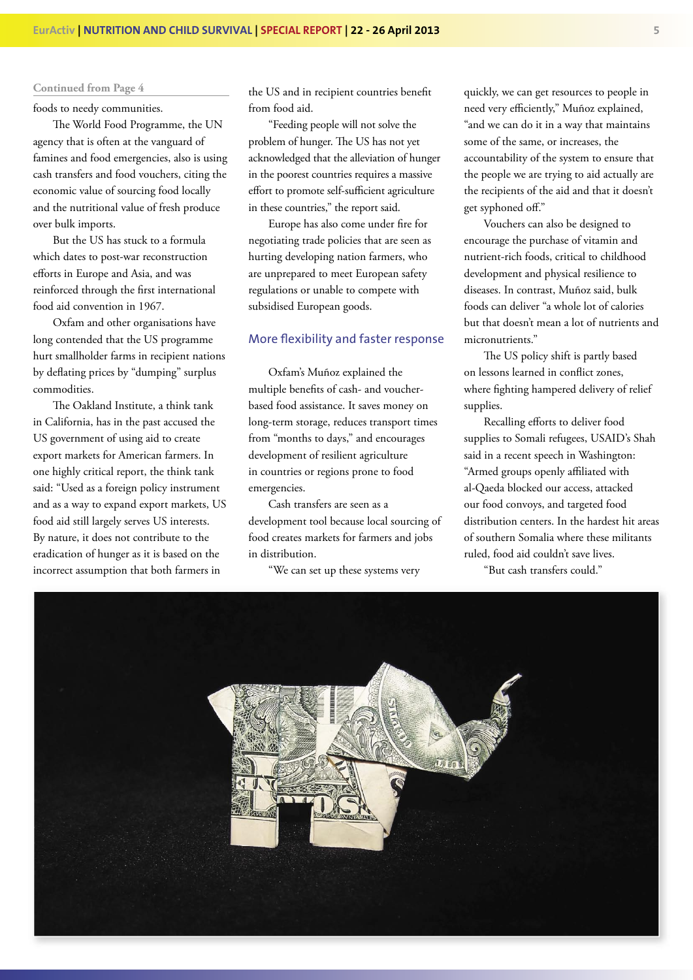foods to needy communities.

The World Food Programme, the UN agency that is often at the vanguard of famines and food emergencies, also is using cash transfers and food vouchers, citing the economic value of sourcing food locally and the nutritional value of fresh produce over bulk imports.

But the US has stuck to a formula which dates to post-war reconstruction efforts in Europe and Asia, and was reinforced through the first international food aid convention in 1967.

Oxfam and other organisations have long contended that the US programme hurt smallholder farms in recipient nations by deflating prices by "dumping" surplus commodities.

The Oakland Institute, a think tank in California, has in the past accused the US government of using aid to create export markets for American farmers. In one highly critical report, the think tank said: "Used as a foreign policy instrument and as a way to expand export markets, US food aid still largely serves US interests. By nature, it does not contribute to the eradication of hunger as it is based on the incorrect assumption that both farmers in

the US and in recipient countries benefit from food aid.

"Feeding people will not solve the problem of hunger. The US has not yet acknowledged that the alleviation of hunger in the poorest countries requires a massive effort to promote self-sufficient agriculture in these countries," the report said.

Europe has also come under fire for negotiating trade policies that are seen as hurting developing nation farmers, who are unprepared to meet European safety regulations or unable to compete with subsidised European goods.

#### More flexibility and faster response

Oxfam's Muñoz explained the multiple benefits of cash- and voucherbased food assistance. It saves money on long-term storage, reduces transport times from "months to days," and encourages development of resilient agriculture in countries or regions prone to food emergencies.

Cash transfers are seen as a development tool because local sourcing of food creates markets for farmers and jobs in distribution.

"We can set up these systems very

quickly, we can get resources to people in need very efficiently," Muñoz explained, "and we can do it in a way that maintains some of the same, or increases, the accountability of the system to ensure that the people we are trying to aid actually are the recipients of the aid and that it doesn't get syphoned off."

Vouchers can also be designed to encourage the purchase of vitamin and nutrient-rich foods, critical to childhood development and physical resilience to diseases. In contrast, Muñoz said, bulk foods can deliver "a whole lot of calories but that doesn't mean a lot of nutrients and micronutrients."

The US policy shift is partly based on lessons learned in conflict zones, where fighting hampered delivery of relief supplies.

Recalling efforts to deliver food supplies to Somali refugees, USAID's Shah said in a recent speech in Washington: "Armed groups openly affiliated with al-Qaeda blocked our access, attacked our food convoys, and targeted food distribution centers. In the hardest hit areas of southern Somalia where these militants ruled, food aid couldn't save lives.

"But cash transfers could."

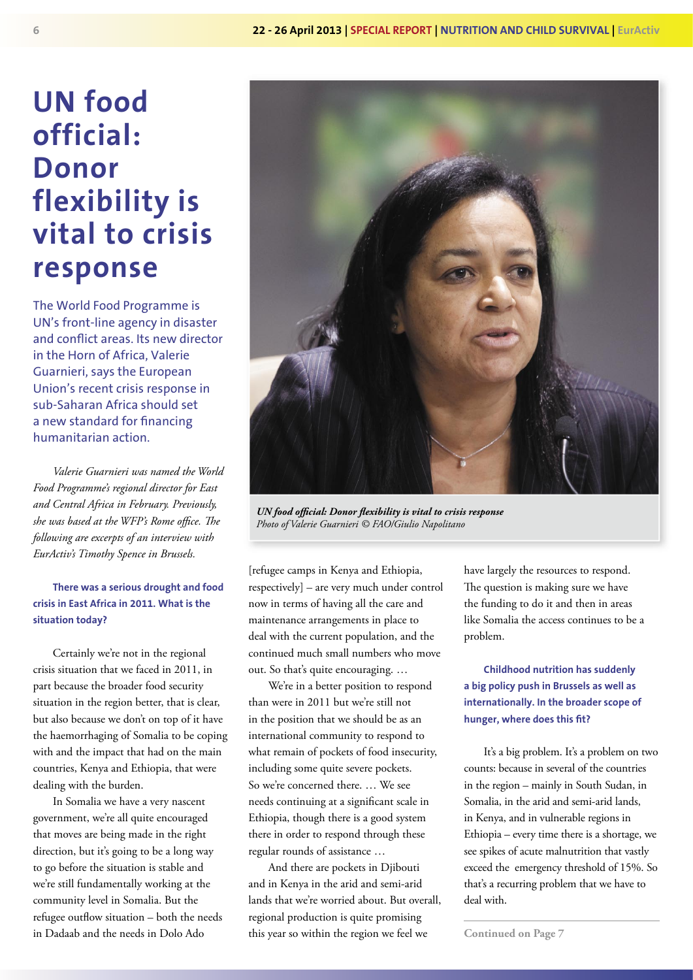## **UN food official: Donor flexibility is vital to crisis response**

The World Food Programme is UN's front-line agency in disaster and conflict areas. Its new director in the Horn of Africa, Valerie Guarnieri, says the European Union's recent crisis response in sub-Saharan Africa should set a new standard for financing humanitarian action.

*Valerie Guarnieri was named the World Food Programme's regional director for East and Central Africa in February. Previously,*  she was based at the WFP's Rome office. The *following are excerpts of an interview with EurActiv's Timothy Spence in Brussels.*

**There was a serious drought and food crisis in East Africa in 2011. What is the situation today?**

Certainly we're not in the regional crisis situation that we faced in 2011, in part because the broader food security situation in the region better, that is clear, but also because we don't on top of it have the haemorrhaging of Somalia to be coping with and the impact that had on the main countries, Kenya and Ethiopia, that were dealing with the burden.

In Somalia we have a very nascent government, we're all quite encouraged that moves are being made in the right direction, but it's going to be a long way to go before the situation is stable and we're still fundamentally working at the community level in Somalia. But the refugee outflow situation – both the needs in Dadaab and the needs in Dolo Ado



*UN food official: Donor flexibility is vital to crisis response Photo of Valerie Guarnieri © FAO/Giulio Napolitano*

[refugee camps in Kenya and Ethiopia, respectively] – are very much under control now in terms of having all the care and maintenance arrangements in place to deal with the current population, and the continued much small numbers who move out. So that's quite encouraging. …

We're in a better position to respond than were in 2011 but we're still not in the position that we should be as an international community to respond to what remain of pockets of food insecurity, including some quite severe pockets. So we're concerned there. … We see needs continuing at a significant scale in Ethiopia, though there is a good system there in order to respond through these regular rounds of assistance …

And there are pockets in Djibouti and in Kenya in the arid and semi-arid lands that we're worried about. But overall, regional production is quite promising this year so within the region we feel we

have largely the resources to respond. The question is making sure we have the funding to do it and then in areas like Somalia the access continues to be a problem.

**Childhood nutrition has suddenly a big policy push in Brussels as well as internationally. In the broader scope of**  hunger, where does this fit?

It's a big problem. It's a problem on two counts: because in several of the countries in the region – mainly in South Sudan, in Somalia, in the arid and semi-arid lands, in Kenya, and in vulnerable regions in Ethiopia – every time there is a shortage, we see spikes of acute malnutrition that vastly exceed the emergency threshold of 15%. So that's a recurring problem that we have to deal with.

**Continued on Page 7**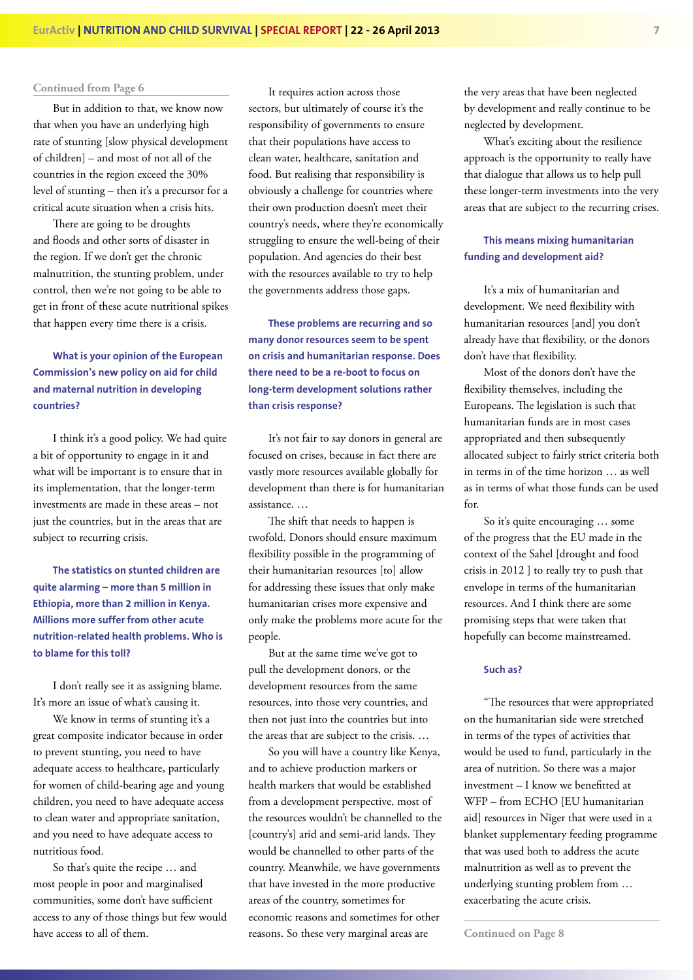But in addition to that, we know now that when you have an underlying high rate of stunting [slow physical development of children] – and most of not all of the countries in the region exceed the 30% level of stunting – then it's a precursor for a critical acute situation when a crisis hits.

There are going to be droughts and floods and other sorts of disaster in the region. If we don't get the chronic malnutrition, the stunting problem, under control, then we're not going to be able to get in front of these acute nutritional spikes that happen every time there is a crisis.

#### **What is your opinion of the European Commission's new policy on aid for child and maternal nutrition in developing countries?**

I think it's a good policy. We had quite a bit of opportunity to engage in it and what will be important is to ensure that in its implementation, that the longer-term investments are made in these areas – not just the countries, but in the areas that are subject to recurring crisis.

**The statistics on stunted children are quite alarming – more than 5 million in Ethiopia, more than 2 million in Kenya. Millions more suffer from other acute nutrition-related health problems. Who is to blame for this toll?**

I don't really see it as assigning blame. It's more an issue of what's causing it.

We know in terms of stunting it's a great composite indicator because in order to prevent stunting, you need to have adequate access to healthcare, particularly for women of child-bearing age and young children, you need to have adequate access to clean water and appropriate sanitation, and you need to have adequate access to nutritious food.

So that's quite the recipe … and most people in poor and marginalised communities, some don't have sufficient access to any of those things but few would have access to all of them.

It requires action across those sectors, but ultimately of course it's the responsibility of governments to ensure that their populations have access to clean water, healthcare, sanitation and food. But realising that responsibility is obviously a challenge for countries where their own production doesn't meet their country's needs, where they're economically struggling to ensure the well-being of their population. And agencies do their best with the resources available to try to help the governments address those gaps.

**These problems are recurring and so many donor resources seem to be spent on crisis and humanitarian response. Does there need to be a re-boot to focus on long-term development solutions rather than crisis response?**

It's not fair to say donors in general are focused on crises, because in fact there are vastly more resources available globally for development than there is for humanitarian assistance. …

The shift that needs to happen is twofold. Donors should ensure maximum flexibility possible in the programming of their humanitarian resources [to] allow for addressing these issues that only make humanitarian crises more expensive and only make the problems more acute for the people.

But at the same time we've got to pull the development donors, or the development resources from the same resources, into those very countries, and then not just into the countries but into the areas that are subject to the crisis. …

So you will have a country like Kenya, and to achieve production markers or health markers that would be established from a development perspective, most of the resources wouldn't be channelled to the [country's] arid and semi-arid lands. They would be channelled to other parts of the country. Meanwhile, we have governments that have invested in the more productive areas of the country, sometimes for economic reasons and sometimes for other reasons. So these very marginal areas are

the very areas that have been neglected by development and really continue to be neglected by development.

What's exciting about the resilience approach is the opportunity to really have that dialogue that allows us to help pull these longer-term investments into the very areas that are subject to the recurring crises.

#### **This means mixing humanitarian funding and development aid?**

It's a mix of humanitarian and development. We need flexibility with humanitarian resources [and] you don't already have that flexibility, or the donors don't have that flexibility.

Most of the donors don't have the flexibility themselves, including the Europeans. The legislation is such that humanitarian funds are in most cases appropriated and then subsequently allocated subject to fairly strict criteria both in terms in of the time horizon … as well as in terms of what those funds can be used for.

So it's quite encouraging … some of the progress that the EU made in the context of the Sahel [drought and food crisis in 2012 ] to really try to push that envelope in terms of the humanitarian resources. And I think there are some promising steps that were taken that hopefully can become mainstreamed.

#### **Such as?**

"The resources that were appropriated on the humanitarian side were stretched in terms of the types of activities that would be used to fund, particularly in the area of nutrition. So there was a major investment – I know we benefitted at WFP – from ECHO [EU humanitarian aid] resources in Niger that were used in a blanket supplementary feeding programme that was used both to address the acute malnutrition as well as to prevent the underlying stunting problem from … exacerbating the acute crisis.

**Continued on Page 8**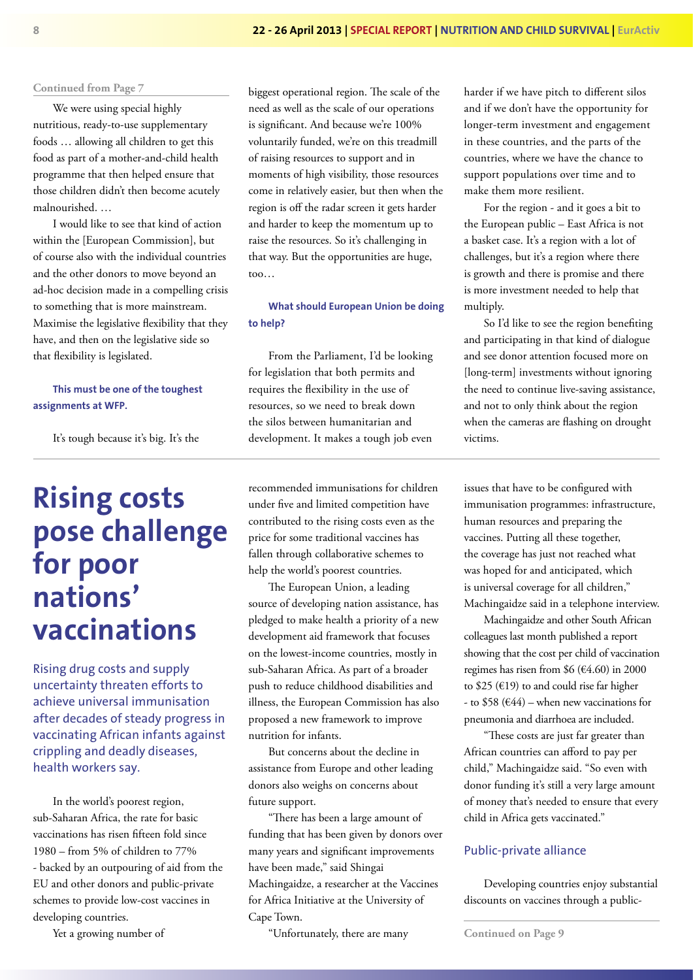We were using special highly nutritious, ready-to-use supplementary foods … allowing all children to get this food as part of a mother-and-child health programme that then helped ensure that those children didn't then become acutely malnourished. …

I would like to see that kind of action within the [European Commission], but of course also with the individual countries and the other donors to move beyond an ad-hoc decision made in a compelling crisis to something that is more mainstream. Maximise the legislative flexibility that they have, and then on the legislative side so that flexibility is legislated.

#### **This must be one of the toughest assignments at WFP.**

It's tough because it's big. It's the

## **Rising costs pose challenge for poor nations' vaccinations**

Rising drug costs and supply uncertainty threaten efforts to achieve universal immunisation after decades of steady progress in vaccinating African infants against crippling and deadly diseases, health workers say.

In the world's poorest region, sub-Saharan Africa, the rate for basic vaccinations has risen fifteen fold since 1980 – from 5% of children to 77% - backed by an outpouring of aid from the EU and other donors and public-private schemes to provide low-cost vaccines in developing countries.

Yet a growing number of

biggest operational region. The scale of the need as well as the scale of our operations is significant. And because we're 100% voluntarily funded, we're on this treadmill of raising resources to support and in moments of high visibility, those resources come in relatively easier, but then when the region is off the radar screen it gets harder and harder to keep the momentum up to raise the resources. So it's challenging in that way. But the opportunities are huge, too…

**What should European Union be doing to help?**

From the Parliament, I'd be looking for legislation that both permits and requires the flexibility in the use of resources, so we need to break down the silos between humanitarian and development. It makes a tough job even

recommended immunisations for children under five and limited competition have contributed to the rising costs even as the price for some traditional vaccines has fallen through collaborative schemes to help the world's poorest countries.

The European Union, a leading source of developing nation assistance, has pledged to make health a priority of a new development aid framework that focuses on the lowest-income countries, mostly in sub-Saharan Africa. As part of a broader push to reduce childhood disabilities and illness, the European Commission has also proposed a new framework to improve nutrition for infants.

But concerns about the decline in assistance from Europe and other leading donors also weighs on concerns about future support.

"There has been a large amount of funding that has been given by donors over many years and significant improvements have been made," said Shingai Machingaidze, a researcher at the Vaccines for Africa Initiative at the University of Cape Town.

"Unfortunately, there are many

harder if we have pitch to different silos and if we don't have the opportunity for longer-term investment and engagement in these countries, and the parts of the countries, where we have the chance to support populations over time and to make them more resilient.

For the region - and it goes a bit to the European public – East Africa is not a basket case. It's a region with a lot of challenges, but it's a region where there is growth and there is promise and there is more investment needed to help that multiply.

So I'd like to see the region benefiting and participating in that kind of dialogue and see donor attention focused more on [long-term] investments without ignoring the need to continue live-saving assistance, and not to only think about the region when the cameras are flashing on drought victims.

issues that have to be configured with immunisation programmes: infrastructure, human resources and preparing the vaccines. Putting all these together, the coverage has just not reached what was hoped for and anticipated, which is universal coverage for all children," Machingaidze said in a telephone interview.

Machingaidze and other South African colleagues last month published a report showing that the cost per child of vaccination regimes has risen from \$6 (€4.60) in 2000 to \$25 (€19) to and could rise far higher - to \$58 ( $644$ ) – when new vaccinations for pneumonia and diarrhoea are included.

"These costs are just far greater than African countries can afford to pay per child," Machingaidze said. "So even with donor funding it's still a very large amount of money that's needed to ensure that every child in Africa gets vaccinated."

#### Public-private alliance

Developing countries enjoy substantial discounts on vaccines through a public-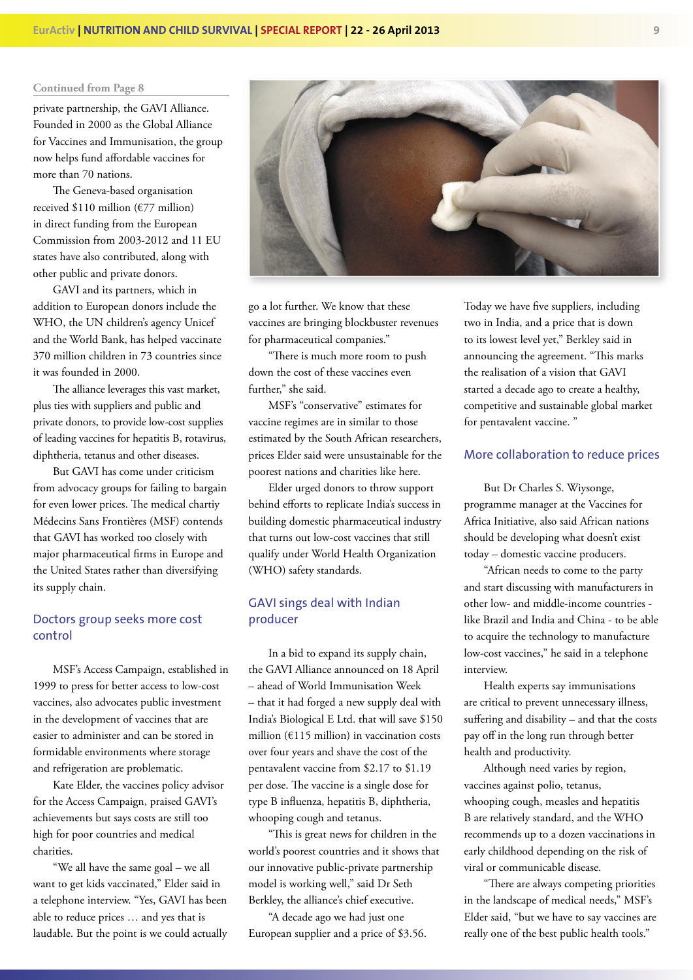private partnership, the GAVI Alliance. Founded in 2000 as the Global Alliance for Vaccines and Immunisation, the group now helps fund affordable vaccines for more than 70 nations.

The Geneva-based organisation received \$110 million (€77 million) in direct funding from the European Commission from 2003-2012 and 11 EU states have also contributed, along with other public and private donors.

GAVI and its partners, which in addition to European donors include the WHO, the UN children's agency Unicef and the World Bank, has helped vaccinate 370 million children in 73 countries since it was founded in 2000.

The alliance leverages this vast market, plus ties with suppliers and public and private donors, to provide low-cost supplies of leading vaccines for hepatitis B, rotavirus, diphtheria, tetanus and other diseases.

But GAVI has come under criticism from advocacy groups for failing to bargain for even lower prices. The medical chartiy Médecins Sans Frontières (MSF) contends that GAVI has worked too closely with major pharmaceutical firms in Europe and the United States rather than diversifying its supply chain.

#### Doctors group seeks more cost control

MSF's Access Campaign, established in 1999 to press for better access to low-cost vaccines, also advocates public investment in the development of vaccines that are easier to administer and can be stored in formidable environments where storage and refrigeration are problematic.

Kate Elder, the vaccines policy advisor for the Access Campaign, praised GAVI's achievements but says costs are still too high for poor countries and medical charities.

"We all have the same goal – we all want to get kids vaccinated," Elder said in a telephone interview. "Yes, GAVI has been able to reduce prices … and yes that is laudable. But the point is we could actually

go a lot further. We know that these vaccines are bringing blockbuster revenues for pharmaceutical companies." "There is much more room to push down the cost of these vaccines even further," she said.

MSF's "conservative" estimates for vaccine regimes are in similar to those estimated by the South African researchers, prices Elder said were unsustainable for the poorest nations and charities like here.

Elder urged donors to throw support behind efforts to replicate India's success in building domestic pharmaceutical industry that turns out low-cost vaccines that still qualify under World Health Organization (WHO) safety standards.

#### GAVI sings deal with Indian producer

In a bid to expand its supply chain, the GAVI Alliance announced on 18 April – ahead of World Immunisation Week – that it had forged a new supply deal with India's Biological E Ltd. that will save \$150 million (€115 million) in vaccination costs over four years and shave the cost of the pentavalent vaccine from \$2.17 to \$1.19 per dose. The vaccine is a single dose for type B influenza, hepatitis B, diphtheria, whooping cough and tetanus.

"This is great news for children in the world's poorest countries and it shows that our innovative public-private partnership model is working well," said Dr Seth Berkley, the alliance's chief executive.

"A decade ago we had just one European supplier and a price of \$3.56. Today we have five suppliers, including two in India, and a price that is down to its lowest level yet," Berkley said in announcing the agreement. "This marks the realisation of a vision that GAVI started a decade ago to create a healthy, competitive and sustainable global market for pentavalent vaccine. "

#### More collaboration to reduce prices

But Dr Charles S. Wiysonge, programme manager at the Vaccines for Africa Initiative, also said African nations should be developing what doesn't exist today – domestic vaccine producers.

"African needs to come to the party and start discussing with manufacturers in other low- and middle-income countries like Brazil and India and China - to be able to acquire the technology to manufacture low-cost vaccines," he said in a telephone interview.

Health experts say immunisations are critical to prevent unnecessary illness, suffering and disability - and that the costs pay off in the long run through better health and productivity.

Although need varies by region, vaccines against polio, tetanus, whooping cough, measles and hepatitis B are relatively standard, and the WHO recommends up to a dozen vaccinations in early childhood depending on the risk of viral or communicable disease.

"There are always competing priorities in the landscape of medical needs," MSF's Elder said, "but we have to say vaccines are really one of the best public health tools."

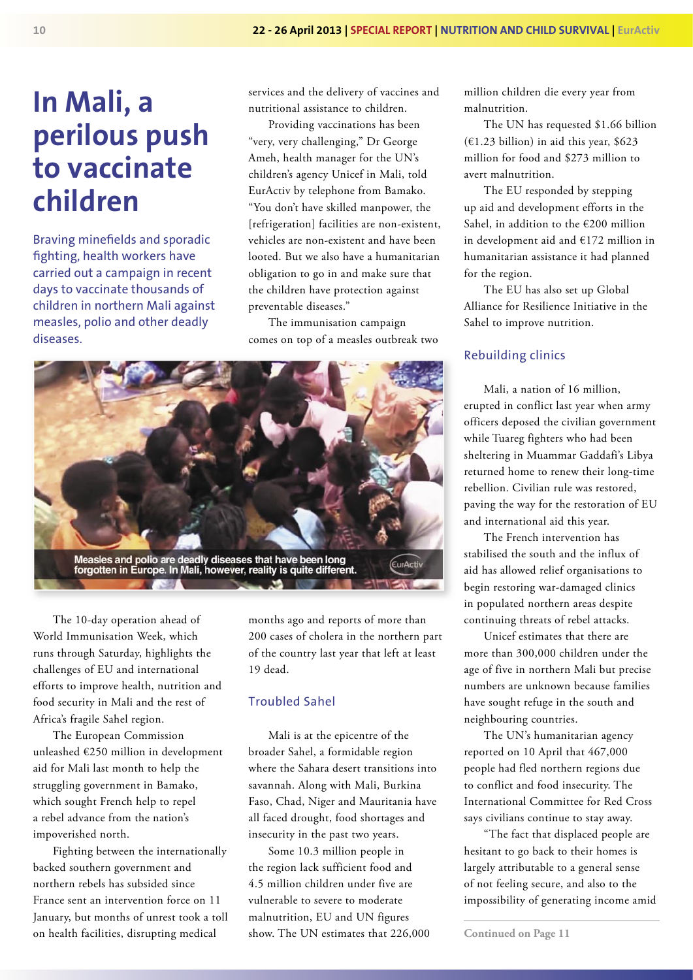## **In Mali, a perilous push to vaccinate children**

Braving minefields and sporadic fighting, health workers have carried out a campaign in recent days to vaccinate thousands of children in northern Mali against measles, polio and other deadly diseases.

services and the delivery of vaccines and nutritional assistance to children.

Providing vaccinations has been "very, very challenging," Dr George Ameh, health manager for the UN's children's agency Unicef in Mali, told EurActiv by telephone from Bamako. "You don't have skilled manpower, the [refrigeration] facilities are non-existent, vehicles are non-existent and have been looted. But we also have a humanitarian obligation to go in and make sure that the children have protection against preventable diseases."

The immunisation campaign comes on top of a measles outbreak two



The 10-day operation ahead of World Immunisation Week, which runs through Saturday, highlights the challenges of EU and international efforts to improve health, nutrition and food security in Mali and the rest of Africa's fragile Sahel region.

The European Commission unleashed €250 million in development aid for Mali last month to help the struggling government in Bamako, which sought French help to repel a rebel advance from the nation's impoverished north.

Fighting between the internationally backed southern government and northern rebels has subsided since France sent an intervention force on 11 January, but months of unrest took a toll on health facilities, disrupting medical

months ago and reports of more than 200 cases of cholera in the northern part of the country last year that left at least 19 dead.

#### Troubled Sahel

Mali is at the epicentre of the broader Sahel, a formidable region where the Sahara desert transitions into savannah. Along with Mali, Burkina Faso, Chad, Niger and Mauritania have all faced drought, food shortages and insecurity in the past two years.

Some 10.3 million people in the region lack sufficient food and 4.5 million children under five are vulnerable to severe to moderate malnutrition, EU and UN figures show. The UN estimates that 226,000 million children die every year from malnutrition.

The UN has requested \$1.66 billion  $(€1.23 billion)$  in aid this year, \$623 million for food and \$273 million to avert malnutrition.

The EU responded by stepping up aid and development efforts in the Sahel, in addition to the €200 million in development aid and €172 million in humanitarian assistance it had planned for the region.

The EU has also set up Global Alliance for Resilience Initiative in the Sahel to improve nutrition.

#### Rebuilding clinics

Mali, a nation of 16 million, erupted in conflict last year when army officers deposed the civilian government while Tuareg fighters who had been sheltering in Muammar Gaddafi's Libya returned home to renew their long-time rebellion. Civilian rule was restored, paving the way for the restoration of EU and international aid this year.

The French intervention has stabilised the south and the influx of aid has allowed relief organisations to begin restoring war-damaged clinics in populated northern areas despite continuing threats of rebel attacks.

Unicef estimates that there are more than 300,000 children under the age of five in northern Mali but precise numbers are unknown because families have sought refuge in the south and neighbouring countries.

The UN's humanitarian agency reported on 10 April that 467,000 people had fled northern regions due to conflict and food insecurity. The International Committee for Red Cross says civilians continue to stay away.

"The fact that displaced people are hesitant to go back to their homes is largely attributable to a general sense of not feeling secure, and also to the impossibility of generating income amid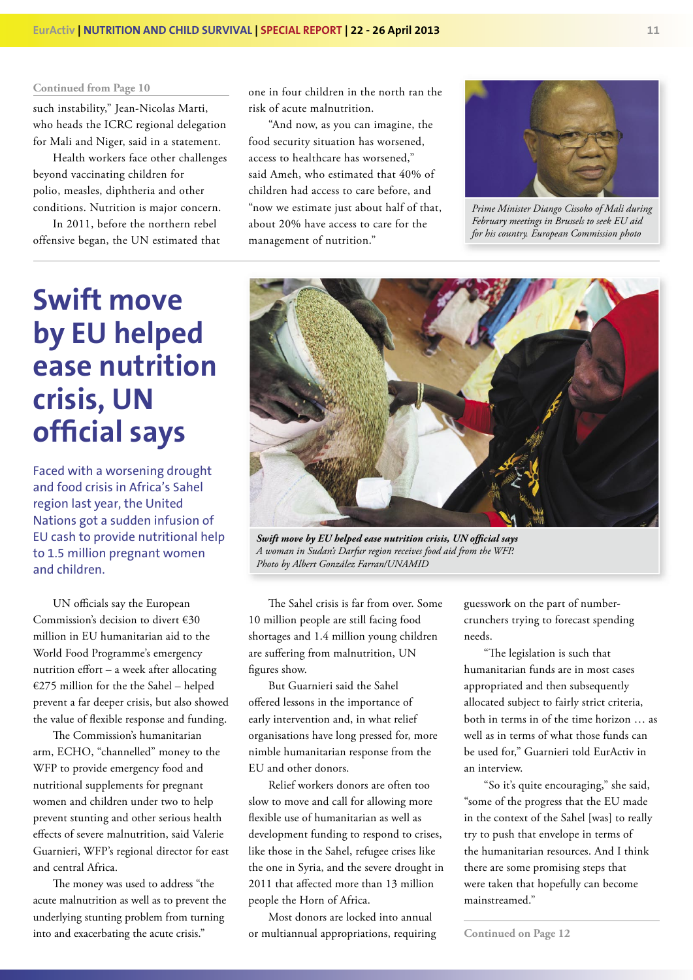such instability," Jean-Nicolas Marti, who heads the ICRC regional delegation for Mali and Niger, said in a statement.

Health workers face other challenges beyond vaccinating children for polio, measles, diphtheria and other conditions. Nutrition is major concern.

In 2011, before the northern rebel offensive began, the UN estimated that one in four children in the north ran the risk of acute malnutrition.

"And now, as you can imagine, the food security situation has worsened, access to healthcare has worsened," said Ameh, who estimated that 40% of children had access to care before, and "now we estimate just about half of that, about 20% have access to care for the management of nutrition."



*Prime Minister Diango Cissoko of Mali during February meetings in Brussels to seek EU aid for his country. European Commission photo*

## **Swift move by EU helped ease nutrition crisis, UN official says**

Faced with a worsening drought and food crisis in Africa's Sahel region last year, the United Nations got a sudden infusion of EU cash to provide nutritional help to 1.5 million pregnant women and children.

UN officials say the European Commission's decision to divert €30 million in EU humanitarian aid to the World Food Programme's emergency nutrition effort  $-$  a week after allocating €275 million for the the Sahel – helped prevent a far deeper crisis, but also showed the value of flexible response and funding.

The Commission's humanitarian arm, ECHO, "channelled" money to the WFP to provide emergency food and nutritional supplements for pregnant women and children under two to help prevent stunting and other serious health effects of severe malnutrition, said Valerie Guarnieri, WFP's regional director for east and central Africa.

The money was used to address "the acute malnutrition as well as to prevent the underlying stunting problem from turning into and exacerbating the acute crisis."



*Swift move by EU helped ease nutrition crisis, UN official says A woman in Sudan's Darfur region receives food aid from the WFP. Photo by Albert González Farran/UNAMID*

The Sahel crisis is far from over. Some 10 million people are still facing food shortages and 1.4 million young children are suffering from malnutrition, UN figures show.

But Guarnieri said the Sahel offered lessons in the importance of early intervention and, in what relief organisations have long pressed for, more nimble humanitarian response from the EU and other donors.

Relief workers donors are often too slow to move and call for allowing more flexible use of humanitarian as well as development funding to respond to crises, like those in the Sahel, refugee crises like the one in Syria, and the severe drought in 2011 that affected more than 13 million people the Horn of Africa.

Most donors are locked into annual or multiannual appropriations, requiring

guesswork on the part of numbercrunchers trying to forecast spending needs.

"The legislation is such that humanitarian funds are in most cases appropriated and then subsequently allocated subject to fairly strict criteria, both in terms in of the time horizon … as well as in terms of what those funds can be used for," Guarnieri told EurActiv in an interview.

"So it's quite encouraging," she said, "some of the progress that the EU made in the context of the Sahel [was] to really try to push that envelope in terms of the humanitarian resources. And I think there are some promising steps that were taken that hopefully can become mainstreamed."

**Continued on Page 12**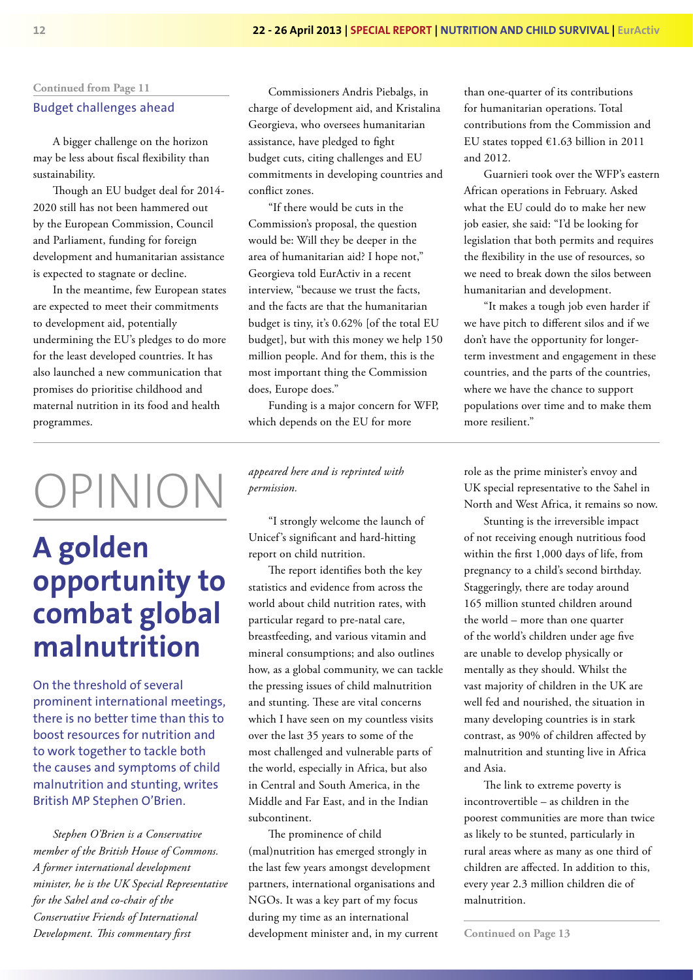#### Budget challenges ahead

A bigger challenge on the horizon may be less about fiscal flexibility than sustainability.

Though an EU budget deal for 2014- 2020 still has not been hammered out by the European Commission, Council and Parliament, funding for foreign development and humanitarian assistance is expected to stagnate or decline.

In the meantime, few European states are expected to meet their commitments to development aid, potentially undermining the EU's pledges to do more for the least developed countries. It has also launched a new communication that promises do prioritise childhood and maternal nutrition in its food and health programmes.

# OPINION

## **A golden opportunity to combat global malnutrition**

On the threshold of several prominent international meetings, there is no better time than this to boost resources for nutrition and to work together to tackle both the causes and symptoms of child malnutrition and stunting, writes British MP Stephen O'Brien.

*Stephen O'Brien is a Conservative member of the British House of Commons. A former international development minister, he is the UK Special Representative for the Sahel and co-chair of the Conservative Friends of International Development. This commentary first* 

Commissioners Andris Piebalgs, in charge of development aid, and Kristalina Georgieva, who oversees humanitarian assistance, have pledged to fight budget cuts, citing challenges and EU commitments in developing countries and conflict zones.

"If there would be cuts in the Commission's proposal, the question would be: Will they be deeper in the area of humanitarian aid? I hope not," Georgieva told EurActiv in a recent interview, "because we trust the facts, and the facts are that the humanitarian budget is tiny, it's 0.62% [of the total EU budget], but with this money we help 150 million people. And for them, this is the most important thing the Commission does, Europe does."

Funding is a major concern for WFP, which depends on the EU for more

*appeared here and is reprinted with permission.*

"I strongly welcome the launch of Unicef's significant and hard-hitting report on child nutrition.

The report identifies both the key statistics and evidence from across the world about child nutrition rates, with particular regard to pre-natal care, breastfeeding, and various vitamin and mineral consumptions; and also outlines how, as a global community, we can tackle the pressing issues of child malnutrition and stunting. These are vital concerns which I have seen on my countless visits over the last 35 years to some of the most challenged and vulnerable parts of the world, especially in Africa, but also in Central and South America, in the Middle and Far East, and in the Indian subcontinent.

The prominence of child (mal)nutrition has emerged strongly in the last few years amongst development partners, international organisations and NGOs. It was a key part of my focus during my time as an international development minister and, in my current

than one-quarter of its contributions for humanitarian operations. Total contributions from the Commission and EU states topped  $£1.63$  billion in 2011 and 2012.

Guarnieri took over the WFP's eastern African operations in February. Asked what the EU could do to make her new job easier, she said: "I'd be looking for legislation that both permits and requires the flexibility in the use of resources, so we need to break down the silos between humanitarian and development.

"It makes a tough job even harder if we have pitch to different silos and if we don't have the opportunity for longerterm investment and engagement in these countries, and the parts of the countries, where we have the chance to support populations over time and to make them more resilient."

role as the prime minister's envoy and UK special representative to the Sahel in North and West Africa, it remains so now.

Stunting is the irreversible impact of not receiving enough nutritious food within the first 1,000 days of life, from pregnancy to a child's second birthday. Staggeringly, there are today around 165 million stunted children around the world – more than one quarter of the world's children under age five are unable to develop physically or mentally as they should. Whilst the vast majority of children in the UK are well fed and nourished, the situation in many developing countries is in stark contrast, as 90% of children affected by malnutrition and stunting live in Africa and Asia.

The link to extreme poverty is incontrovertible – as children in the poorest communities are more than twice as likely to be stunted, particularly in rural areas where as many as one third of children are affected. In addition to this, every year 2.3 million children die of malnutrition.

**Continued on Page 13**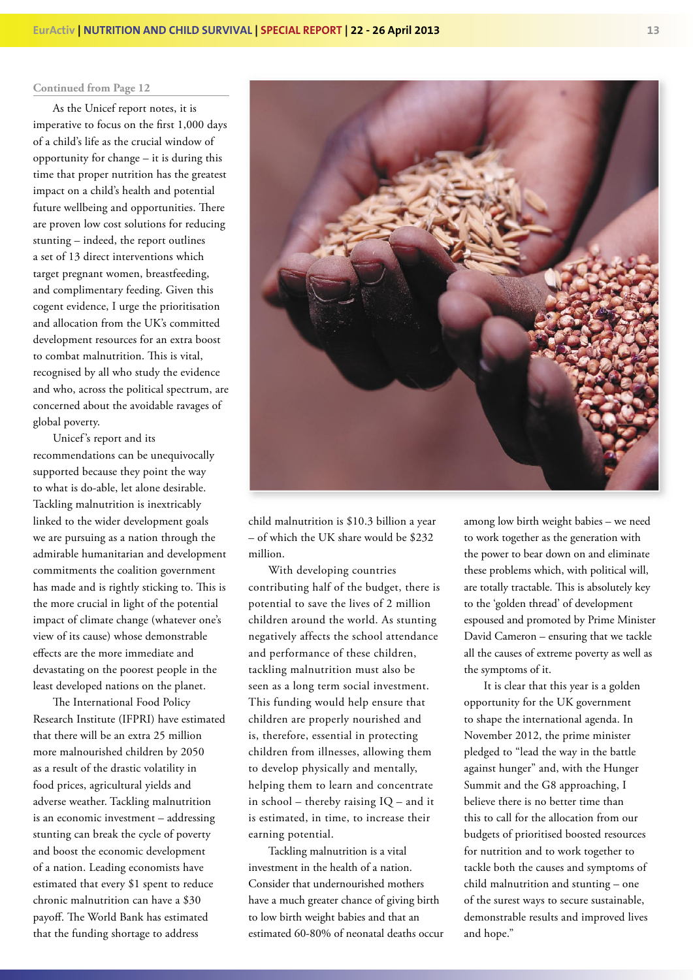As the Unicef report notes, it is imperative to focus on the first 1,000 days of a child's life as the crucial window of opportunity for change – it is during this time that proper nutrition has the greatest impact on a child's health and potential future wellbeing and opportunities. There are proven low cost solutions for reducing stunting – indeed, the report outlines a set of 13 direct interventions which target pregnant women, breastfeeding, and complimentary feeding. Given this cogent evidence, I urge the prioritisation and allocation from the UK's committed development resources for an extra boost to combat malnutrition. This is vital, recognised by all who study the evidence and who, across the political spectrum, are concerned about the avoidable ravages of global poverty.

Unicef's report and its recommendations can be unequivocally supported because they point the way to what is do-able, let alone desirable. Tackling malnutrition is inextricably linked to the wider development goals we are pursuing as a nation through the admirable humanitarian and development commitments the coalition government has made and is rightly sticking to. This is the more crucial in light of the potential impact of climate change (whatever one's view of its cause) whose demonstrable effects are the more immediate and devastating on the poorest people in the least developed nations on the planet.

The International Food Policy Research Institute (IFPRI) have estimated that there will be an extra 25 million more malnourished children by 2050 as a result of the drastic volatility in food prices, agricultural yields and adverse weather. Tackling malnutrition is an economic investment – addressing stunting can break the cycle of poverty and boost the economic development of a nation. Leading economists have estimated that every \$1 spent to reduce chronic malnutrition can have a \$30 payoff. The World Bank has estimated that the funding shortage to address



child malnutrition is \$10.3 billion a year – of which the UK share would be \$232 million.

With developing countries contributing half of the budget, there is potential to save the lives of 2 million children around the world. As stunting negatively affects the school attendance and performance of these children, tackling malnutrition must also be seen as a long term social investment. This funding would help ensure that children are properly nourished and is, therefore, essential in protecting children from illnesses, allowing them to develop physically and mentally, helping them to learn and concentrate in school – thereby raising IQ – and it is estimated, in time, to increase their earning potential.

Tackling malnutrition is a vital investment in the health of a nation. Consider that undernourished mothers have a much greater chance of giving birth to low birth weight babies and that an estimated 60-80% of neonatal deaths occur among low birth weight babies – we need to work together as the generation with the power to bear down on and eliminate these problems which, with political will, are totally tractable. This is absolutely key to the 'golden thread' of development espoused and promoted by Prime Minister David Cameron – ensuring that we tackle all the causes of extreme poverty as well as the symptoms of it.

It is clear that this year is a golden opportunity for the UK government to shape the international agenda. In November 2012, the prime minister pledged to "lead the way in the battle against hunger" and, with the Hunger Summit and the G8 approaching, I believe there is no better time than this to call for the allocation from our budgets of prioritised boosted resources for nutrition and to work together to tackle both the causes and symptoms of child malnutrition and stunting – one of the surest ways to secure sustainable, demonstrable results and improved lives and hope."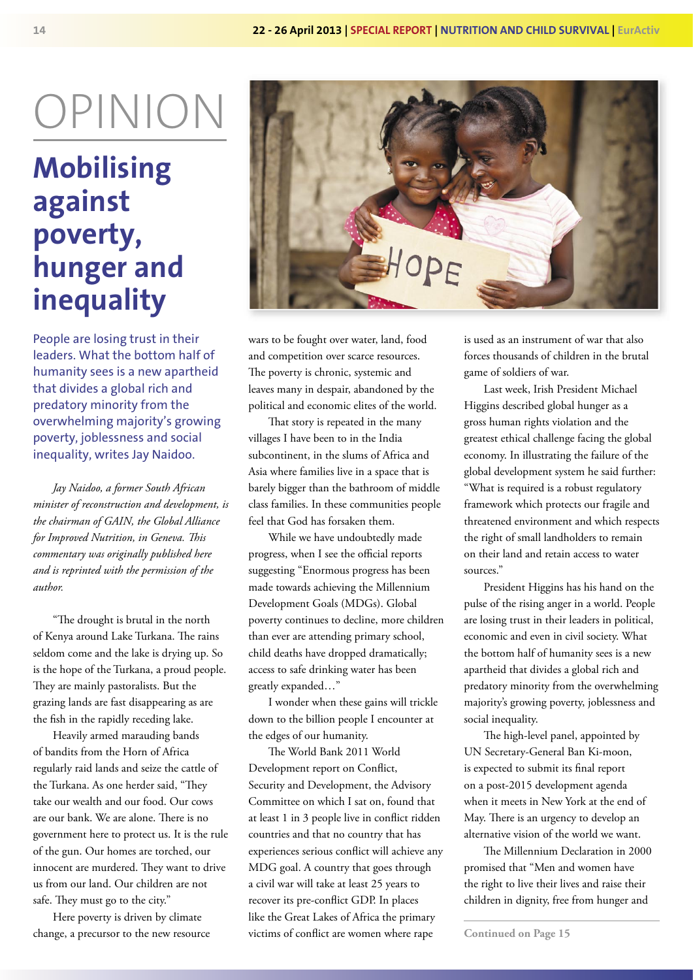# OPINION

## **Mobilising against poverty, hunger and inequality**

People are losing trust in their leaders. What the bottom half of humanity sees is a new apartheid that divides a global rich and predatory minority from the overwhelming majority's growing poverty, joblessness and social inequality, writes Jay Naidoo.

*Jay Naidoo, a former South African minister of reconstruction and development, is the chairman of GAIN, the Global Alliance*  for Improved Nutrition, in Geneva. This *commentary was originally published here and is reprinted with the permission of the author.*

"The drought is brutal in the north of Kenya around Lake Turkana. The rains seldom come and the lake is drying up. So is the hope of the Turkana, a proud people. They are mainly pastoralists. But the grazing lands are fast disappearing as are the fish in the rapidly receding lake.

Heavily armed marauding bands of bandits from the Horn of Africa regularly raid lands and seize the cattle of the Turkana. As one herder said, "They take our wealth and our food. Our cows are our bank. We are alone. There is no government here to protect us. It is the rule of the gun. Our homes are torched, our innocent are murdered. They want to drive us from our land. Our children are not safe. They must go to the city."

Here poverty is driven by climate change, a precursor to the new resource



wars to be fought over water, land, food and competition over scarce resources. The poverty is chronic, systemic and leaves many in despair, abandoned by the political and economic elites of the world.

That story is repeated in the many villages I have been to in the India subcontinent, in the slums of Africa and Asia where families live in a space that is barely bigger than the bathroom of middle class families. In these communities people feel that God has forsaken them.

While we have undoubtedly made progress, when I see the official reports suggesting "Enormous progress has been made towards achieving the Millennium Development Goals (MDGs). Global poverty continues to decline, more children than ever are attending primary school, child deaths have dropped dramatically; access to safe drinking water has been greatly expanded…"

I wonder when these gains will trickle down to the billion people I encounter at the edges of our humanity.

The World Bank 2011 World Development report on Conflict, Security and Development, the Advisory Committee on which I sat on, found that at least 1 in 3 people live in conflict ridden countries and that no country that has experiences serious conflict will achieve any MDG goal. A country that goes through a civil war will take at least 25 years to recover its pre-conflict GDP. In places like the Great Lakes of Africa the primary victims of conflict are women where rape

is used as an instrument of war that also forces thousands of children in the brutal game of soldiers of war.

Last week, Irish President Michael Higgins described global hunger as a gross human rights violation and the greatest ethical challenge facing the global economy. In illustrating the failure of the global development system he said further: "What is required is a robust regulatory framework which protects our fragile and threatened environment and which respects the right of small landholders to remain on their land and retain access to water sources."

President Higgins has his hand on the pulse of the rising anger in a world. People are losing trust in their leaders in political, economic and even in civil society. What the bottom half of humanity sees is a new apartheid that divides a global rich and predatory minority from the overwhelming majority's growing poverty, joblessness and social inequality.

The high-level panel, appointed by UN Secretary-General Ban Ki-moon, is expected to submit its final report on a post-2015 development agenda when it meets in New York at the end of May. There is an urgency to develop an alternative vision of the world we want.

The Millennium Declaration in 2000 promised that "Men and women have the right to live their lives and raise their children in dignity, free from hunger and